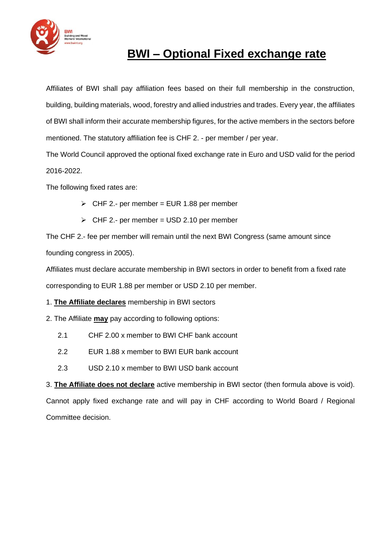

# **BWI – Optional Fixed exchange rate**

Affiliates of BWI shall pay affiliation fees based on their full membership in the construction, building, building materials, wood, forestry and allied industries and trades. Every year, the affiliates of BWI shall inform their accurate membership figures, for the active members in the sectors before mentioned. The statutory affiliation fee is CHF 2. - per member / per year.

The World Council approved the optional fixed exchange rate in Euro and USD valid for the period 2016-2022.

The following fixed rates are:

- $\ge$  CHF 2.- per member = EUR 1.88 per member
- $\triangleright$  CHF 2.- per member = USD 2.10 per member

The CHF 2.- fee per member will remain until the next BWI Congress (same amount since founding congress in 2005).

Affiliates must declare accurate membership in BWI sectors in order to benefit from a fixed rate corresponding to EUR 1.88 per member or USD 2.10 per member.

1. **The Affiliate declares** membership in BWI sectors

2. The Affiliate **may** pay according to following options:

- 2.1 CHF 2.00 x member to BWI CHF bank account
- 2.2 EUR 1.88 x member to BWI EUR bank account
- 2.3 USD 2.10 x member to BWI USD bank account

3. **The Affiliate does not declare** active membership in BWI sector (then formula above is void).

Cannot apply fixed exchange rate and will pay in CHF according to World Board / Regional Committee decision.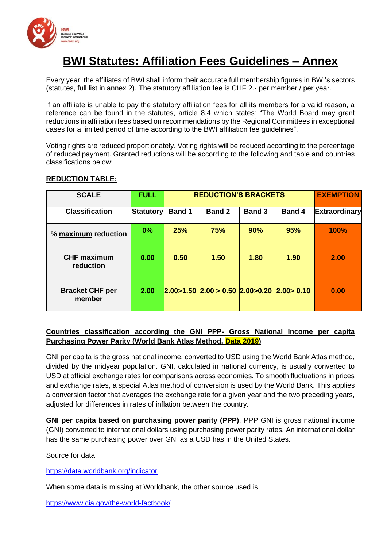

# **BWI Statutes: Affiliation Fees Guidelines – Annex**

Every year, the affiliates of BWI shall inform their accurate full membership figures in BWI's sectors (statutes, full list in annex 2). The statutory affiliation fee is CHF 2.- per member / per year.

If an affiliate is unable to pay the statutory affiliation fees for all its members for a valid reason, a reference can be found in the statutes, article 8.4 which states: "The World Board may grant reductions in affiliation fees based on recommendations by the Regional Committees in exceptional cases for a limited period of time according to the BWI affiliation fee guidelines".

Voting rights are reduced proportionately. Voting rights will be reduced according to the percentage of reduced payment. Granted reductions will be according to the following and table and countries classifications below:

## **REDUCTION TABLE:**

| <b>SCALE</b>                     | <b>FULL</b>      | <b>REDUCTION'S BRACKETS</b> |                                     |               |               | <b>EXEMPTION</b>     |
|----------------------------------|------------------|-----------------------------|-------------------------------------|---------------|---------------|----------------------|
| <b>Classification</b>            | <b>Statutory</b> | <b>Band 1</b>               | <b>Band 2</b>                       | <b>Band 3</b> | <b>Band 4</b> | <b>Extraordinary</b> |
| % maximum reduction              | 0%               | 25%                         | 75%                                 | 90%           | 95%           | 100%                 |
| <b>CHF maximum</b><br>reduction  | 0.00             | 0.50                        | 1.50                                | 1.80          | 1.90          | 2.00                 |
| <b>Bracket CHF per</b><br>member | 2.00             |                             | $2.00>1.50$ 2.00 > 0.50 2.00 > 0.20 |               | 2.00 > 0.10   | 0.00                 |

## **Countries classification according the GNI PPP- Gross National Income per capita Purchasing Power Parity (World Bank Atlas Method. Data 2019)**

GNI per capita is the gross national income, converted to USD using the World Bank Atlas method, divided by the midyear population. GNI, calculated in national currency, is usually converted to USD at official exchange rates for comparisons across economies. To smooth fluctuations in prices and exchange rates, a special Atlas method of conversion is used by the World Bank. This applies a conversion factor that averages the exchange rate for a given year and the two preceding years, adjusted for differences in rates of inflation between the country.

**GNI per capita based on purchasing power parity (PPP)**. PPP GNI is gross national income (GNI) converted to international dollars using purchasing power parity rates. An international dollar has the same purchasing power over GNI as a USD has in the United States.

Source for data:

<https://data.worldbank.org/indicator>

When some data is missing at Worldbank, the other source used is:

<https://www.cia.gov/the-world-factbook/>